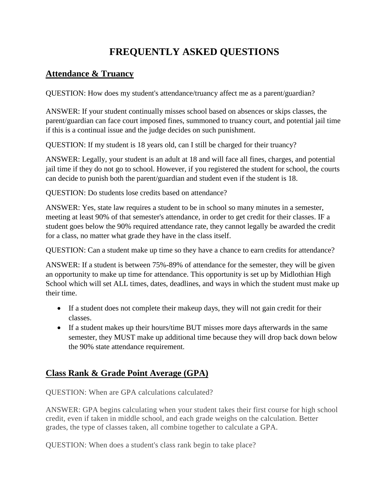# **FREQUENTLY ASKED QUESTIONS**

#### **Attendance & Truancy**

QUESTION: How does my student's attendance/truancy affect me as a parent/guardian?

ANSWER: If your student continually misses school based on absences or skips classes, the parent/guardian can face court imposed fines, summoned to truancy court, and potential jail time if this is a continual issue and the judge decides on such punishment.

QUESTION: If my student is 18 years old, can I still be charged for their truancy?

ANSWER: Legally, your student is an adult at 18 and will face all fines, charges, and potential jail time if they do not go to school. However, if you registered the student for school, the courts can decide to punish both the parent/guardian and student even if the student is 18.

QUESTION: Do students lose credits based on attendance?

ANSWER: Yes, state law requires a student to be in school so many minutes in a semester, meeting at least 90% of that semester's attendance, in order to get credit for their classes. IF a student goes below the 90% required attendance rate, they cannot legally be awarded the credit for a class, no matter what grade they have in the class itself.

QUESTION: Can a student make up time so they have a chance to earn credits for attendance?

ANSWER: If a student is between 75%-89% of attendance for the semester, they will be given an opportunity to make up time for attendance. This opportunity is set up by Midlothian High School which will set ALL times, dates, deadlines, and ways in which the student must make up their time.

- If a student does not complete their makeup days, they will not gain credit for their classes.
- If a student makes up their hours/time BUT misses more days afterwards in the same semester, they MUST make up additional time because they will drop back down below the 90% state attendance requirement.

## **Class Rank & Grade Point Average (GPA)**

QUESTION: When are GPA calculations calculated?

ANSWER: GPA begins calculating when your student takes their first course for high school credit, even if taken in middle school, and each grade weighs on the calculation. Better grades, the type of classes taken, all combine together to calculate a GPA.

QUESTION: When does a student's class rank begin to take place?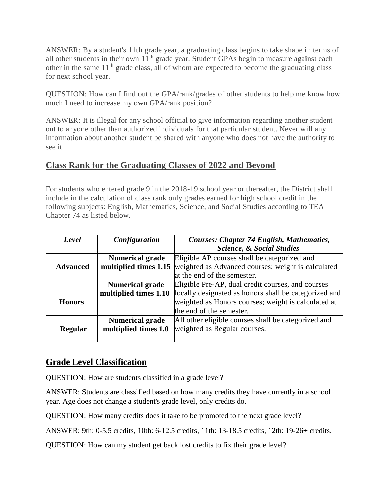ANSWER: By a student's 11th grade year, a graduating class begins to take shape in terms of all other students in their own  $11<sup>th</sup>$  grade year. Student GPAs begin to measure against each other in the same  $11<sup>th</sup>$  grade class, all of whom are expected to become the graduating class for next school year.

QUESTION: How can I find out the GPA/rank/grades of other students to help me know how much I need to increase my own GPA/rank position?

ANSWER: It is illegal for any school official to give information regarding another student out to anyone other than authorized individuals for that particular student. Never will any information about another student be shared with anyone who does not have the authority to see it.

#### **Class Rank for the Graduating Classes of 2022 and Beyond**

For students who entered grade 9 in the 2018-19 school year or thereafter, the District shall include in the calculation of class rank only grades earned for high school credit in the following subjects: English, Mathematics, Science, and Social Studies according to TEA Chapter 74 as listed below.

| Level           | Configuration          | <b>Courses: Chapter 74 English, Mathematics,</b>      |
|-----------------|------------------------|-------------------------------------------------------|
|                 |                        | <b>Science, &amp; Social Studies</b>                  |
|                 | <b>Numerical grade</b> | Eligible AP courses shall be categorized and          |
| <b>Advanced</b> | multiplied times 1.15  | weighted as Advanced courses; weight is calculated    |
|                 |                        | at the end of the semester.                           |
|                 | <b>Numerical grade</b> | Eligible Pre-AP, dual credit courses, and courses     |
|                 | multiplied times 1.10  | locally designated as honors shall be categorized and |
| <b>Honors</b>   |                        | weighted as Honors courses; weight is calculated at   |
|                 |                        | the end of the semester.                              |
|                 | <b>Numerical grade</b> | All other eligible courses shall be categorized and   |
| Regular         | multiplied times 1.0   | weighted as Regular courses.                          |
|                 |                        |                                                       |

#### **Grade Level Classification**

QUESTION: How are students classified in a grade level?

ANSWER: Students are classified based on how many credits they have currently in a school year. Age does not change a student's grade level, only credits do.

QUESTION: How many credits does it take to be promoted to the next grade level?

ANSWER: 9th: 0-5.5 credits, 10th: 6-12.5 credits, 11th: 13-18.5 credits, 12th: 19-26+ credits.

QUESTION: How can my student get back lost credits to fix their grade level?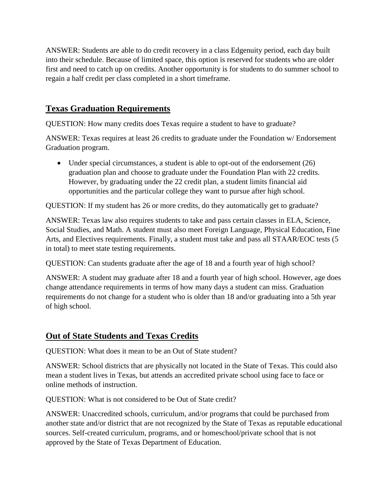ANSWER: Students are able to do credit recovery in a class Edgenuity period, each day built into their schedule. Because of limited space, this option is reserved for students who are older first and need to catch up on credits. Another opportunity is for students to do summer school to regain a half credit per class completed in a short timeframe.

#### **Texas Graduation Requirements**

QUESTION: How many credits does Texas require a student to have to graduate?

ANSWER: Texas requires at least 26 credits to graduate under the Foundation w/ Endorsement Graduation program.

• Under special circumstances, a student is able to opt-out of the endorsement (26) graduation plan and choose to graduate under the Foundation Plan with 22 credits. However, by graduating under the 22 credit plan, a student limits financial aid opportunities and the particular college they want to pursue after high school.

QUESTION: If my student has 26 or more credits, do they automatically get to graduate?

ANSWER: Texas law also requires students to take and pass certain classes in ELA, Science, Social Studies, and Math. A student must also meet Foreign Language, Physical Education, Fine Arts, and Electives requirements. Finally, a student must take and pass all STAAR/EOC tests (5 in total) to meet state testing requirements.

QUESTION: Can students graduate after the age of 18 and a fourth year of high school?

ANSWER: A student may graduate after 18 and a fourth year of high school. However, age does change attendance requirements in terms of how many days a student can miss. Graduation requirements do not change for a student who is older than 18 and/or graduating into a 5th year of high school.

#### **Out of State Students and Texas Credits**

QUESTION: What does it mean to be an Out of State student?

ANSWER: School districts that are physically not located in the State of Texas. This could also mean a student lives in Texas, but attends an accredited private school using face to face or online methods of instruction.

QUESTION: What is not considered to be Out of State credit?

ANSWER: Unaccredited schools, curriculum, and/or programs that could be purchased from another state and/or district that are not recognized by the State of Texas as reputable educational sources. Self-created curriculum, programs, and or homeschool/private school that is not approved by the State of Texas Department of Education.